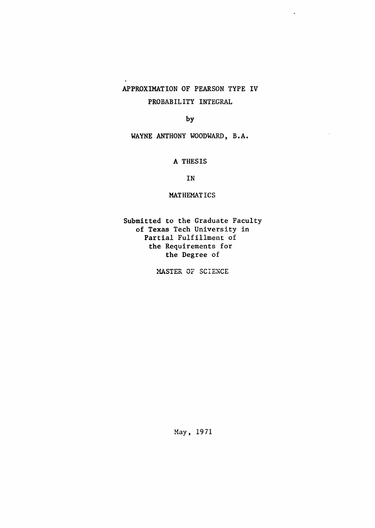## APPROXIMATION OF PEARSON TYPE IV PROBABILITY INTEGRAL

 $\mathcal{L}$ 

#### by

WAYNE ANTHONY WOODWARD, B.A.

#### A THESIS

IN

#### MATHEMATICS

Submitted to the Graduate Faculty of Texas Tech University in Partial Fulfillment of the Requirements for the Degree of

MASTER OF SCIENCE

May, 1971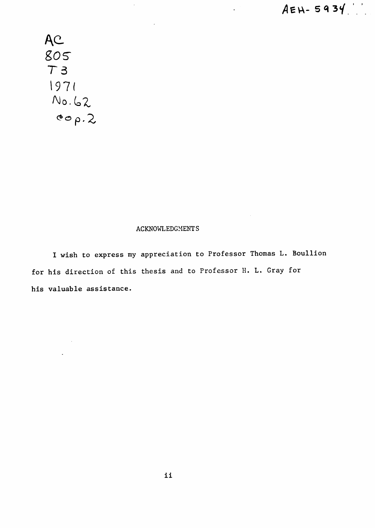$\ddot{\phantom{a}}$ 

AC 805 T3  $1971$ <br>  $N_0.62$ <br>  $800.2$ 

#### ACKNOWLEDGMENTS

I wish to express my appreciation to Professor Thomas L. Boullion for his direction of this thesis and to Professor H. L. Gray for his valuable assistance.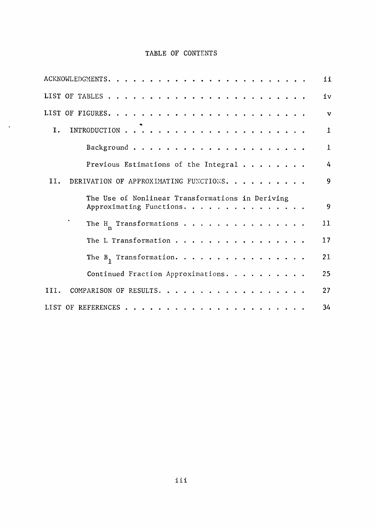## TABLE OF CONTENTS

 $\sim$   $\sim$ 

|      |                                                  | ii            |
|------|--------------------------------------------------|---------------|
|      |                                                  | iv            |
|      |                                                  | $\mathbf{v}$  |
| I.   |                                                  | $\mathbf{1}$  |
|      |                                                  | $\mathbf{1}$  |
|      | Previous Estimations of the Integral             | $\frac{1}{4}$ |
| II.  | DERIVATION OF APPROXIMATING FUNCTIONS.           | 9             |
|      | The Use of Nonlinear Transformations in Deriving |               |
|      | Approximating Functions.                         | 9             |
|      |                                                  |               |
|      | The H <sub>n</sub> Transformations               | 11            |
|      | The L Transformation                             | 17            |
|      | The $B_1$ Transformation.                        | 21            |
|      | Continued Fraction Approximations.               | 25            |
| III. | COMPARISON OF RESULTS.                           | 27            |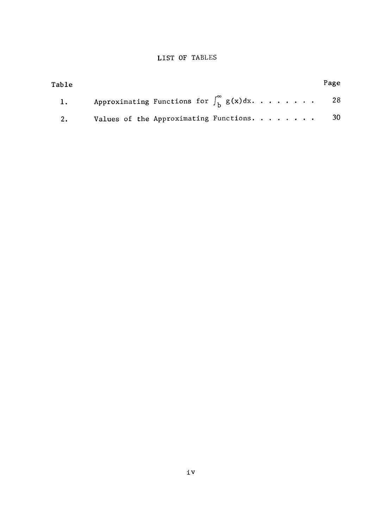### LIST OF TABLES

| Table         |                                                              | Page |
|---------------|--------------------------------------------------------------|------|
| $\mathbf{1.}$ | Approximating Functions for $\int_{k}^{\infty} g(x) dx$ . 28 |      |
| 2.            | Values of the Approximating Functions. $\cdots$ 30           |      |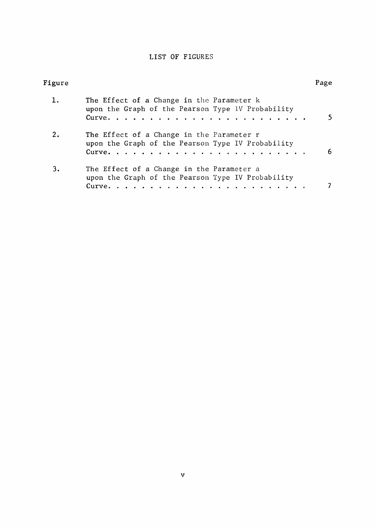## LIST OF FIGURES

| Figure |                                                                                                          | Page |
|--------|----------------------------------------------------------------------------------------------------------|------|
| 1.     | The Effect of a Change in the Parameter k<br>upon the Graph of the Pearson Type 1V Probability           |      |
| 2.     | The Effect of a Change in the Parameter r<br>upon the Graph of the Pearson Type IV Probability           | 6    |
| 3.     | The Effect of a Change in the Parameter a<br>upon the Graph of the Pearson Type IV Probability<br>Curve. |      |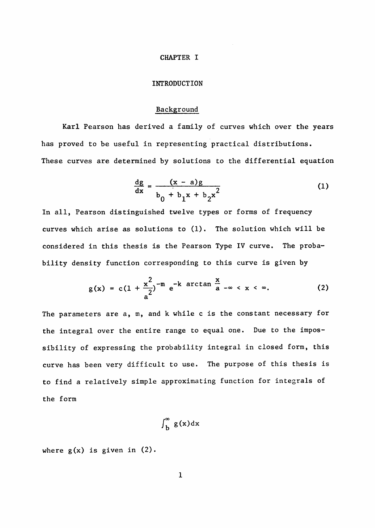#### CHAPTER I

#### INTRODUCTION

#### Background

Karl Pearson has derived a family of curves which over the years has proved to be useful in representing practical distributions. These curves are determined by solutions to the differential equation

$$
\frac{dg}{dx} = \frac{(x - a)g}{b_0 + b_1 x + b_2 x^2}
$$
 (1)

In all, Pearson distinguished twelve types or forms of frequency curves which arise as solutions to (1). The solution which will be considered in this thesis is the Pearson Type IV curve. The probability density function corresponding to this curve is given by

$$
g(x) = c(1 + \frac{x^2}{a^2})^{-m} e^{-k \arctan \frac{x}{a} - \infty} < x < \infty.
$$
 (2)

The parameters are a, m, and k while c is the constant necessary for the integral over the entire range to equal one. Due to the impossibility of expressing the probability integral in closed form, this curve has been very difficult to use. The purpose of this thesis is curve has been very different to use. The purpose of this time purpose of this this this this this this theory to find a relatively simple approximating function for integrals of to find a relatively simple approximating function for integrals of the form

$$
\int_{b}^{\infty} g(x) dx
$$

where  $g(x)$  is given in  $(2)$ .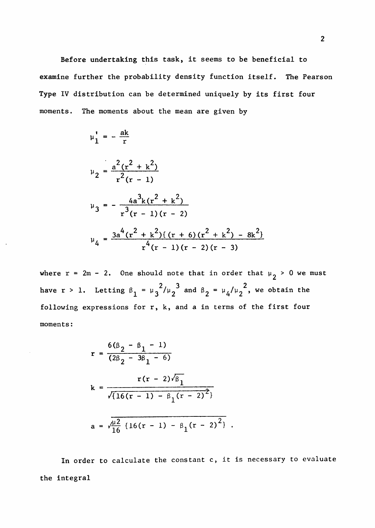Before undertaking this task, it seems to be beneficial to examine further the probability density function itself. The Pearson Type IV distribution can be determined uniquely by its first four moments. The moments about the mean are given by

$$
\mu_1' = -\frac{ak}{r}
$$
\n
$$
\mu_2 = \frac{a^2(r^2 + k^2)}{r^2(r - 1)}
$$
\n
$$
\mu_3 = -\frac{4a^3k(r^2 + k^2)}{r^3(r - 1)(r - 2)}
$$
\n
$$
\mu_4 = \frac{3a^4(r^2 + k^2)\{(r + 6)(r^2 + k^2) - 8k^2\}}{r^4(r - 1)(r - 2)(r - 3)}
$$

where  $r = 2m - 2$ . One should note that in order that  $\mu_2 > 0$  we must  $2/\sqrt{3}$  and  $2/\sqrt{2}$  $\frac{1}{2}$   $\frac{1}{2}$   $\frac{1}{2}$   $\frac{1}{2}$   $\frac{1}{2}$   $\frac{1}{2}$   $\frac{1}{2}$   $\frac{1}{2}$   $\frac{1}{2}$   $\frac{1}{2}$   $\frac{1}{2}$   $\frac{1}{2}$   $\frac{1}{2}$   $\frac{1}{2}$   $\frac{1}{2}$   $\frac{1}{2}$   $\frac{1}{2}$   $\frac{1}{2}$   $\frac{1}{2}$   $\frac{1}{2}$   $\frac{1}{2}$   $\frac{1}{2}$  following expressions for r, k, and a in terms of the first four moments:

$$
r = \frac{6(\beta_2 - \beta_1 - 1)}{(2\beta_2 - 3\beta_1 - 6)}
$$
  
\n
$$
k = \frac{r(r - 2)\sqrt{\beta_1}}{\sqrt{\{16(r - 1) - \beta_1(r - 2)^2\}}}
$$
  
\n
$$
a = \sqrt{\frac{\mu^2}{16} \{16(r - 1) - \beta_1(r - 2)^2\}}.
$$

In order to calculate the constant c, it is necessary to evaluate the integral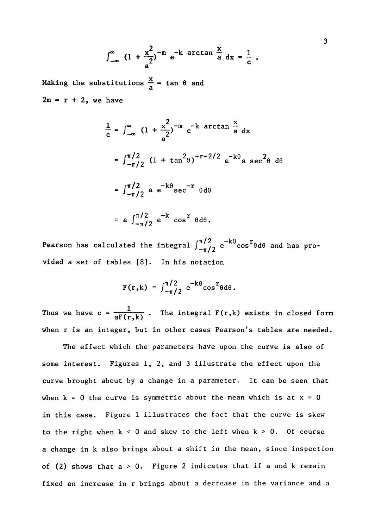$$
\int_{-\infty}^{\infty} (1 + \frac{x^2}{a})^{-m} e^{-k} \arctan \frac{x}{a} dx = \frac{1}{c}.
$$

Making the substitutions  $\frac{1}{6}$  = tan  $\theta$  and a  $2m = r + 2$ , we have

$$
\frac{1}{c} = \int_{-\infty}^{\infty} (1 + \frac{x^2}{a})^{-m} e^{-k \arctan \frac{x}{a}} dx
$$
  
=  $\int_{-\pi/2}^{\pi/2} (1 + \tan^2 \theta)^{-r-2/2} e^{-k\theta} a \sec^2 \theta d\theta$   
=  $\int_{-\pi/2}^{\pi/2} a e^{-k\theta} \sec^{-r} \theta d\theta$   
=  $a \int_{-\pi/2}^{\pi/2} e^{-k} \cos^r \theta d\theta$ .

Pearson has calculated the integral  $\int_{-\pi/2}^{\pi/2} e^{-k\theta} \cos^r \theta d\theta$  and has provided a set of tables [8]. In his notation

$$
F(r, k) = \int_{-\pi/2}^{\pi/2} e^{-k\theta} \cos^r \theta d\theta.
$$

1 Thus we have  $c = \frac{aF(r,k)}{aF(r,k)}$ . The integral  $F(r,k)$  exists in closed form when r is an integer, but in other cases Pearson's tables are needed.

The effect which the parameters have upon the curve is also of some interest. Figures  $1, 2,$  and 3 illustrate the effect upon the curve brought about by a change in a parameter. It can be seen that when  $k = 0$  the curve is symmetric about the mean which is at  $x = 0$ in this case. Figure 1 illustrates the fact that the curve is skew to the right when  $k < 0$  and skew to the left when  $k > 0$ . Of course a change in k also brings about a shift in the mean, since inspection of (2) shows that  $a > 0$ . Figure 2 indicates that if a and k remain fixed an increase in r brings about a decrease in the variance and a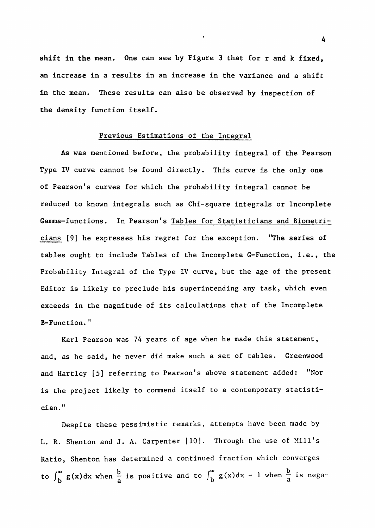**shift in the** mean. One can see by Figure 3 that for r and k fixed, an increase in a results in an increase in the variance and a shift In the mean. These results can also be observed by inspection of **the** density function itself.

#### Previous Estimations of the Integral

As was mentioned before, the probability integral of the Pearson Type IV curve cannot be found directly. This curve is the only one of Pearson's curves for which the probability integral cannot be reduced to known integrals such as Chi-square integrals or Incomplete Gamma-functions. In Pearson's Tables for Statisticians and Biometricians [9] he expresses his regret for the exception. "The series of tables ought to include Tables of the Incomplete G-Function, i.e., the Probability Integral of the Type IV curve, but the age of the present Editor is likely to preclude his superintending any task, which even exceeds in the magnitude of its calculations that of the Incomplete B-Function."

Karl Pearson was 74 years of age when he made this statement, and, as he said, he never did make such a set of tables. Greenwood and Hartley [5] referring to Pearson's above statement added: "Nor is the project likely to commend itself to a contemporary statistician. "

Despite these pessimistic remarks, attempts have been made by L. R. Shenton and J. A. Carpenter [10]. Through the use of Mill's Ratio, Shenton has determined a continued fraction which converges to  $\int_{b}^{\infty} g(x) dx$  when  $\frac{b}{a}$  is positive and to  $\int_{b}^{\infty} g(x) dx - 1$  when  $\frac{b}{a}$  is nega-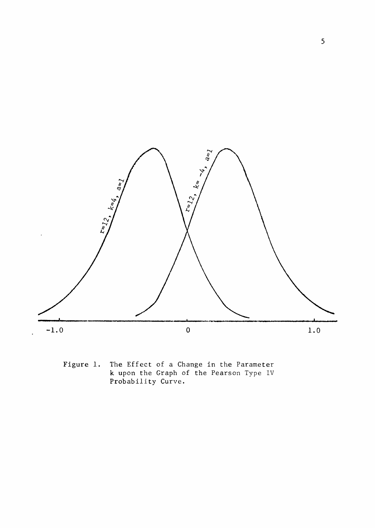

Figure 1. The Effect of a Change in the Parameter k upon the Graph of the Pearson Type IV Probability Curve.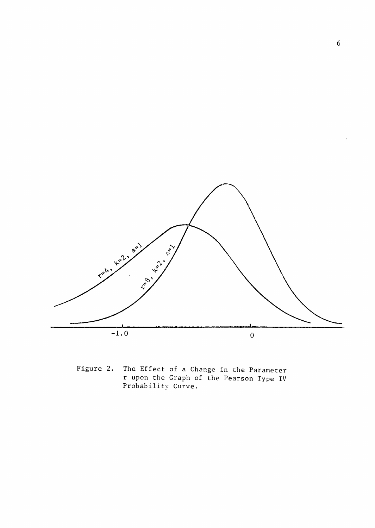

Figure 2. The Effect of a Change in the Parameter r upon the Graph of the Pearson Type IV Probability Curve.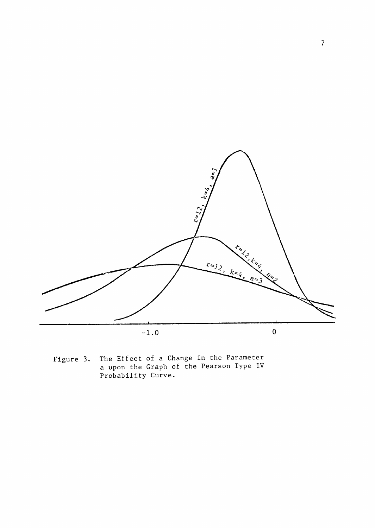

Figure 3. The Effect of a Change in the Parameter a upon the Graph of the Pearson Type IV Probability Curve.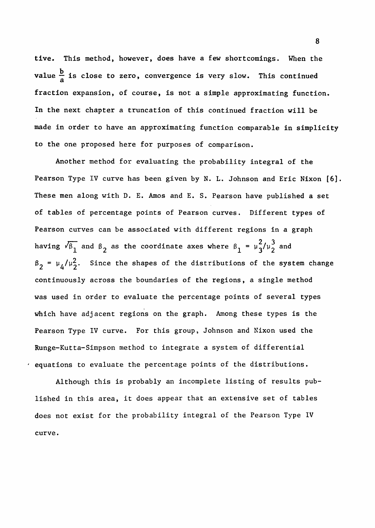tive. This method, however, does have a few shortcomings. When the value  $\frac{b}{a}$  is close to zero, convergence is very slow. This continued fraction expansion, of course, is not a simple approximating function. In the next chapter a truncation of the next chapter a truncation of this continued fraction  $\mathcal{L}(\mathcal{L})$ made in order to have an approximating function comparable in simplicity to the one proposed here for purposes of comparison.

Another method for evaluating the probability integral of the Pearson Type IV curve has been given by N. L. Johnson and Eric Nixon [6]. These men along with D. E. Amos and E. S. Pearson have published a set of tables of percentage points of Pearson curves. Different types of Pearson curves can be associated with different regions in a graph having  $\sqrt{\beta_1}$  and  $\beta_2$  as the coordinate axes where  $\beta_1 = \mu_3^2/\mu_2^3$  and  $\beta_2 = \mu_4/\mu_2^2$ . Since the shapes of the distributions of the system change continuously across the boundaries of the regions, a single method was used in order to evaluate the percentage points of several types which have adjacent regions on the graph. Among these types is the Pearson Type IV curve. For this group, Johnson and Nixon used the Runge-Kutta-Simpson method to integrate a system of differential equations to evaluate the percentage points of the distributions.

Although this is probably an incomplete listing of results published in this area, it does appear that an extensive set of tables does not exist for the probability integral of the Pearson Type IV  $\text{curve}$ 

8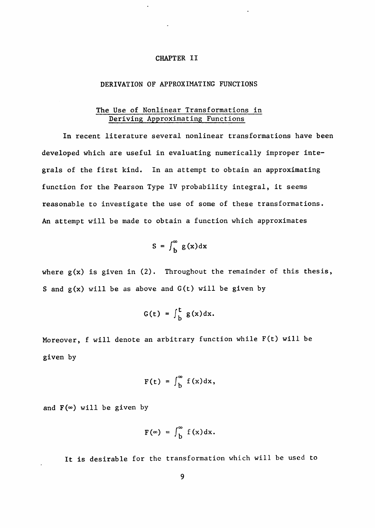#### CHAPTER II

#### DERIVATION OF APPROXIMATING FUNCTIONS

#### The Use of Nonlinear Transformations in Deriving Approximating Functions

In recent literature several nonlinear transformations have been developed which are useful in evaluating numerically improper integrals of the first kind. In an attempt to obtain an approximating function for the Pearson Type IV probability integral, it seems reasonable to investigate the use of some of these transformations. An attempt will be made to obtain a function which approximates

$$
S = \int_{b}^{\infty} g(x) dx
$$

where  $g(x)$  is given in  $(2)$ . Throughout the remainder of this thesis, S and  $g(x)$  will be as above and  $G(t)$  will be given by

$$
G(t) = \int_{b}^{t} g(x) dx.
$$

Moreover, f will denote an arbitrary function while F(t) will be given by

$$
F(t) = \int_{b}^{\infty} f(x) dx,
$$

and  $F(\infty)$  will be given by

$$
F(\infty) = \int_{b}^{\infty} f(x) dx.
$$

It is desirable for the transformation which will be used to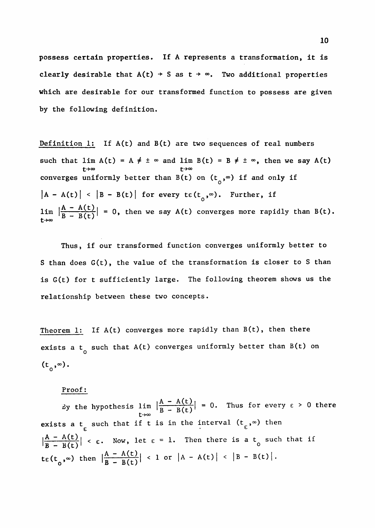**possess certain properties. If A** represents a transformation, **it is clearly desirable that**  $A(t) \rightarrow S$  **as**  $t \rightarrow \infty$ **. Two additional properties which** are desirable for our transformed function to possess are given by the following definition.

Definition 1: If  $A(t)$  and  $B(t)$  are two sequences of real numbers such that lim A(t) = A  $\neq$   $\pm$   $\infty$  and lim B(t) = B  $\neq$   $\pm$   $\infty$ , then we say A(t) converges uniformly better than B(t) on  $(t_0, \infty)$  if and only if  $|A - A(t)| < |B - B(t)|$  for every  $te(t_0, \infty)$ . Further, if  $\lim_{\text{R}} \left| \frac{A - A(t)}{B - B(t)} \right| = 0$ , then we say A(t) converges more rapidly than B(t). t $\rightarrow \infty$ 

Thus, if our transformed function converges uniformly better to S than does  $G(t)$ , the value of the transformation is closer to S than is G(t) for t sufficiently large. The following theorem shows us the relationship between these two concepts.

Theorem 1: If A(t) converges more rapidly than B(t), then there exists a t such that A(t) converges uniformly better than B(t) on o i  $(t_0,\infty)$ .

Proof:

By the hypothesis lim  $\left|\frac{A - A(t)}{B - B(t)}\right| = 0$ . Thus for every  $\epsilon > 0$  there exists a t such that if t is in the interval  $(t\,,\infty)$  then  $\epsilon$   $\epsilon$   $\epsilon$  $\left|\frac{A - A(t)}{B - B(t)}\right|$  <  $\varepsilon$ . Now, let  $\varepsilon = 1$ . Then there is a t such that if  $B - B(t)$ <sup>1</sup>  $t\epsilon(t_0,\infty)$  then  $\left|\frac{A - A(t)}{B - B(t)}\right| < 1$  or  $|A - A(t)| < |B - B(t)|$ .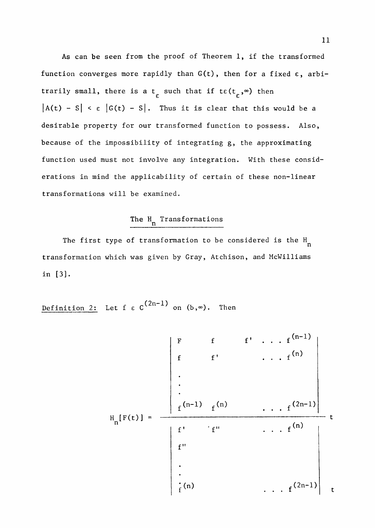As can be seen from the proof of Theorem 1, if the transformed function converges more rapidly than  $G(t)$ , then for a fixed  $\varepsilon$ , arbitrarily small, there is a t<sub>r</sub> such that if te(t<sub>r</sub>,<sup> $\infty$ </sup>) then  $|A(t) - S| < \varepsilon |G(t) - S|$ . Thus it is clear that this would be a desirable property for our transformed function to possess. Also, because of the impossibility of integrating g, the approximating function used must not involve any integration. With these considerations in mind the applicability of certain of these non-linear transformations will be examined.

# The H Transformations

The first type of transformation to be considered is the H n transformation which was given by Gray, Atchison, and McWilliams in [3].

Definition 2: Let  $f \in C^{\frac{(2n-1)}{n}}$  on  $(b, \infty)$ . Then

$$
H_{n}[F(t)] = \frac{\begin{vmatrix} F & f & f^{n} & \cdots & f^{(n-1)} \\ f & f^{n} & \cdots & f^{(n)} \\ \vdots & \vdots & \ddots & \vdots \\ f^{(n-1)} & f^{(n)} & \cdots & f^{(2n-1)} \end{vmatrix}}{f!} t
$$
\n
$$
\vdots
$$
\n
$$
\vdots
$$
\n
$$
\vdots
$$
\n
$$
\vdots
$$
\n
$$
\vdots
$$
\n
$$
\vdots
$$
\n
$$
\vdots
$$
\n
$$
\vdots
$$
\n
$$
\vdots
$$
\n
$$
\vdots
$$
\n
$$
\vdots
$$
\n
$$
\vdots
$$
\n
$$
\vdots
$$
\n
$$
\vdots
$$
\n
$$
\vdots
$$
\n
$$
\vdots
$$
\n
$$
\vdots
$$
\n
$$
\vdots
$$
\n
$$
\vdots
$$
\n
$$
\vdots
$$
\n
$$
\vdots
$$
\n
$$
\vdots
$$
\n
$$
\vdots
$$
\n
$$
\vdots
$$
\n
$$
\vdots
$$
\n
$$
\vdots
$$
\n
$$
\vdots
$$
\n
$$
\vdots
$$
\n
$$
\vdots
$$
\n
$$
\vdots
$$
\n
$$
\vdots
$$
\n
$$
\vdots
$$
\n
$$
\vdots
$$
\n
$$
\vdots
$$
\n
$$
\vdots
$$
\n
$$
\vdots
$$
\n
$$
\vdots
$$
\n
$$
\vdots
$$
\n
$$
\vdots
$$
\n
$$
\vdots
$$
\n
$$
\vdots
$$
\n
$$
\vdots
$$
\n
$$
\vdots
$$
\n
$$
\vdots
$$
\n
$$
\vdots
$$
\n
$$
\vdots
$$
\n
$$
\vdots
$$
\n
$$
\vdots
$$
\n
$$
\vdots
$$
\n
$$
\vdots
$$
\n
$$
\vdots
$$
\n
$$
\vdots
$$
\n
$$
\vdots
$$
\n
$$
\vdots
$$
\n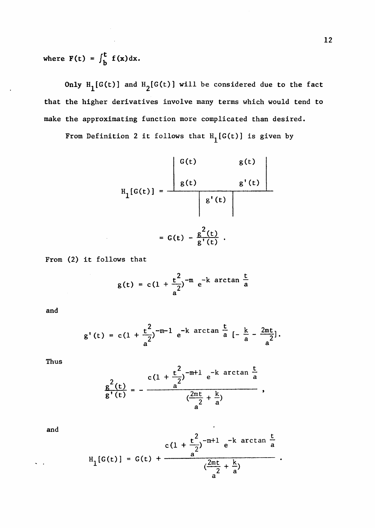where  $F(t) = \int_{b}^{t} f(x) dx$ .

Only  $H_1[G(t)]$  and  $H_2[G(t)]$  will be considered due to the fact that the higher derivatives involve many terms which would tend to make the approximating function more complicated than desired.

From Definition 2 it follows that  $H_1[G(t)]$  is given by

$$
H_{1}[G(t)] = \frac{\begin{vmatrix} G(t) & g(t) \\ g(t) & g'(t) \end{vmatrix}}{\begin{vmatrix} g'(t) \\ g'(t) \end{vmatrix}}
$$
  
= G(t) -  $\frac{g^{2}(t)}{g'(t)}$ .

From (2) it follows that

$$
g(t) = c(1 + \frac{t^2}{a^2})^{-m} e^{-k \arctan \frac{t}{a}}
$$

and

$$
g'(t) = c(1 + \frac{t^2}{a^2})^{-m-1} e^{-k \arctan \frac{t}{a} \left[-\frac{k}{a} - \frac{2mt}{a^2}\right]}
$$
.

Thus

$$
\frac{g^{2}(t)}{g'(t)} = -\frac{c(1+\frac{t^{2}}{a})^{-m+1} e^{-k \arctan \frac{t}{a}}}{\frac{(2mt}{a^{2}} + \frac{k}{a})},
$$

$$
\quad \text{and} \quad
$$

$$
H_1[G(t)] = G(t) + \frac{c(1 + \frac{t^2}{a})^{-m+1} e^{-k \arctan \frac{t}{a}}}{(\frac{2mt}{a^2} + \frac{k}{a})}
$$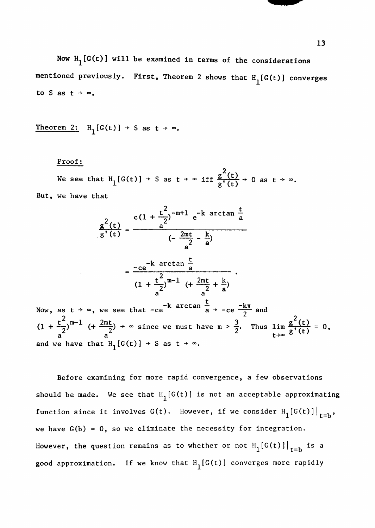Now  $H_1[G(t)]$  will be examined in terms of the considerations mentioned previously. First, Theorem 2 shows that  $H_1[G(t)]$  converges to S as  $t + \infty$ .

Theorem 2: 
$$
H_1[G(t)] \rightarrow S \text{ as } t \rightarrow \infty
$$
.

#### Proof:

 $2^{(n)}$ We see that  $H_1[G(t)] \rightarrow S$  as  $t \rightarrow \infty$  iff  $\frac{6}{s!} \frac{12}{(s+1)} \rightarrow 0$  as  $t \rightarrow$ But, we have that

$$
\frac{g^{2}(t)}{g'(t)} = \frac{c(1 + \frac{t^{2}}{2})^{-m+1} e^{-k \arctan \frac{t}{a}}}{(-\frac{2mt}{a^{2}} - \frac{k}{a})}
$$
\n
$$
= \frac{-ce^{-k \arctan \frac{t}{a}}}{(1 + \frac{t^{2}}{a})^{m-1} (+\frac{2mt}{a^{2}} + \frac{k}{a})}
$$
\nNow, as  $t \to \infty$ , we see that  $-ce^{-k \arctan \frac{t}{a}} \to -ce^{-\frac{k\pi}{2}}$  and  
\n $(1 + \frac{t^{2}}{a})^{m-1} (+\frac{2mt}{a^{2}}) \to \infty$  since we must have  $m > \frac{3}{2}$ . Thus  $\lim_{t \to \infty} \frac{g^{2}(t)}{g'(t)} = 0$ , and we have that  $H_{1}[G(t)] \to S$  as  $t \to \infty$ .

Before examining for more rapid convergence, a few observations should be made. We see that  $H_1[G(t)]$  is not an acceptable approximating function since it involves  $G(t)$ . However, if we consider  $H_1[G(t)]\Big|_{t=b}$ , 1 t = D we have  $G(b) = 0$ , so we eliminate the necessity for integration. However, the question remains as to whether or not  $H_1[G(t)]\Big|_{t=b}$  is a good approximation. If we know that  $H_1[G(t)]$  converges more rapidly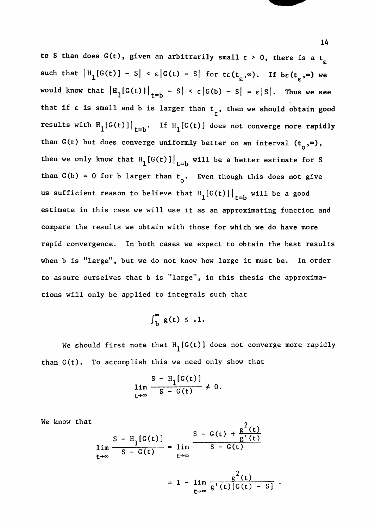to S than does  $G(t)$ , given an arbitrarily small  $\epsilon > 0$ , there is a t<sub>r</sub> such that  $|H_1[G(t)] - S| < \varepsilon |G(t) - S|$  for  $t \varepsilon(t_{\varepsilon}, \infty)$ . If  $b \varepsilon(t_{\varepsilon}, \infty)$  we would know that  $|H_1[G(t)]|_{t=b} - S| < \varepsilon |G(b) - S| = \varepsilon |S|$ . Thus we see that if  $\epsilon$  is small and b is larger than  $t_{\epsilon}$ , then we should obtain good results with  $H_1[G(t)]\Big|_{t=b}$ . If  $H_1[G(t)]$  does not converge more rapidly than G(t) but does converge uniformly better on an interval  $(t_0, \infty)$ , then we only know that  $H_1[G(t)]|_{t=b}$  will be a better estimate for S  $\frac{1}{\sqrt{2}}$  for b larger than t . Even though the single state  $\frac{1}{\sqrt{2}}$ us sufficient reason to believe that  $H_1[G(t)]\Big|_{t=b}$  will be a good estimate in this case we will use it as an approximating function and compare the results we obtain with those for which we do have more rapid convergence. In both cases we expect to obtain the best results tions will only be applied to integrals such that

$$
\int_{b}^{\infty} g(t) \leq .1.
$$

We should first note that  $H_1[G(t)]$  does not converge more rapidly than G(t). To accomplish this we need only show that

$$
\lim_{t\to\infty}\frac{S-H_1[G(t)]}{S-G(t)}\neq 0.
$$

We know that  $\frac{2}{1}$ 

$$
S - H_1[G(t)]
$$
  
\n
$$
\lim_{t \to \infty} \frac{S - G(t) + \frac{g^-(t)}{g^+(t)}}{S - G(t)}
$$
  
\n
$$
= 1 - \lim_{t \to \infty} \frac{g^2(t)}{g^+(t)[G(t) - S]}
$$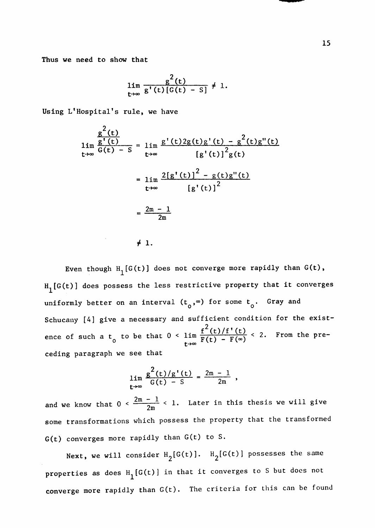Thus we need to show that

$$
\lim_{t\to\infty}\frac{g^2(t)}{g'(t)[G(t)-S]}\neq 1.
$$

Using L'Hospital's rule, we have

ceding paragraph we see that  $\alpha$ 

$$
\lim_{t \to \infty} \frac{g'(t)}{g(t) - S} = \lim_{t \to \infty} \frac{g'(t)2g(t)g'(t) - g^2(t)g''(t)}{[g'(t)]^2g(t)}
$$

$$
= \lim_{t \to \infty} \frac{2[g'(t)]^2 - g(t)g''(t)}{[g'(t)]^2}
$$

$$
= \frac{2m - 1}{2m}
$$

*i* **1.** 

Even though  $H_1[G(t)]$  does not converge more rapidly than  $G(t)$ ,  $H_1[G(t)]$  does possess the less restrictive property that it converges uniformly better on an interval  $(t^o, \infty)$  for some  $t^o$ . Gray and Schucany [4] give a necessary and sufficient condition for the exist- $^{2}$  (  $t \rightarrow \infty$  and  $t \rightarrow \infty$ .

$$
\lim_{t\to\infty}\frac{g^{2}(t)/g'(t)}{G(t)-S}=\frac{2m-1}{2m},
$$

and we know that  $0 < \frac{2m-1}{2m} < 1$ . Later in this thesis we will give some transformations which possess the property that the transformed G(t) converges more rapidly than G(t) to S.

Next, we will consider  $H_2[G(t)]$ .  $H_2[G(t)]$  possesses the same properties as does  $H^1(G(t))$  in that it converges to S but does not converge more rapidly than G(t). The criteria for this can be found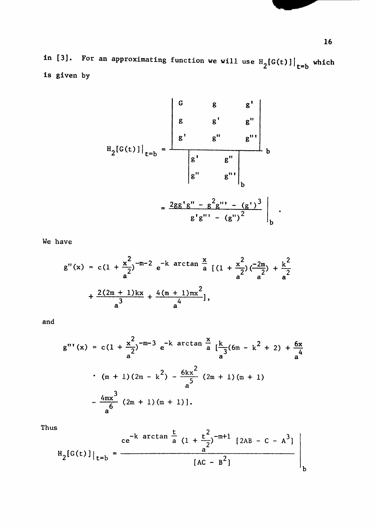in [3]. For an approximating function we will use  $H_{\alpha}[G(t)]$  , which  $2^{2}$ Is given by

$$
H_{2}[G(t)]|_{t=b} = \frac{\begin{vmatrix} G & g & g'' & g'' \\ g & g'' & g'' \end{vmatrix}}{\begin{vmatrix} g'' & g'' \\ g'' & g''' \end{vmatrix}}_{b}
$$

$$
= \frac{2gg'g'' - g^{2}g''' - (g')^{3}}{g'g''' - (g'')^{2}}_{b}.
$$

We have

$$
g''(x) = c(1 + \frac{x^2}{a^2})^{-m-2} e^{-k \arctan{\frac{x}{a}}}(1 + \frac{x^2}{a^2}) (\frac{-2m}{a^2}) + \frac{k^2}{a^2} + \frac{2(2m + 1)kx}{a^3} + \frac{4(m + 1)mx^2}{a^4},
$$

and

$$
g'''(x) = c(1 + \frac{x^2}{a})^{-m-3} e^{-k \arctan \frac{x}{a} \left[ \frac{k}{3} (6m - k^2 + 2) + \frac{6x}{4} \right]}
$$
  
•  $(m + 1)(2m - k^2) - \frac{6kx^2}{a} (2m + 1)(m + 1)$   
•  $-\frac{4mx^3}{a} (2m + 1)(m + 1)$ .

Thus

$$
H_2[G(t)]|_{t=b} = \frac{ce^{-k \arctan \frac{t}{a} (1 + \frac{t^2}{a})^{-m+1} [2AB - C - A^3]}}{[AC - B^2]}
$$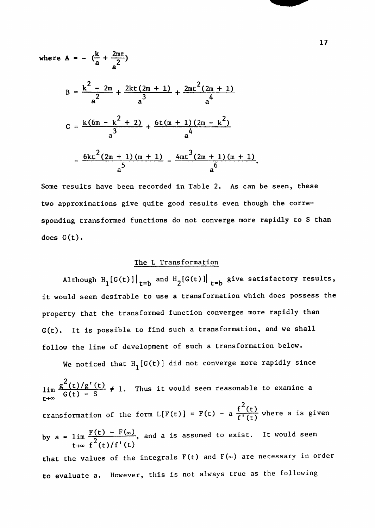where A = - 
$$
(\frac{k}{a} + \frac{2mt}{a^2})
$$
  
\nB =  $\frac{k^2 - 2m}{a^2} + \frac{2kt(2m + 1)}{a^3} + \frac{2mt^2(2m + 1)}{a^4}$   
\nC =  $\frac{k(6m - k^2 + 2)}{a^3} + \frac{6t(m + 1)(2m - k^2)}{a^4}$   
\n $\frac{6kt^2(2m + 1)(m + 1)}{a^5} - \frac{4mt^3(2m + 1)(m + 1)}{a^6}$ .

Some results have been recorded in Table 2. As can be seen, these two approximations give quite good results even though the corresponding transformed functions do not converge more rapidly to S than sponding transformed functions do not converge more rapidly to  $\mathcal{C}(t)$ 

#### The L Transformation

Although H<sub>1</sub>[G(t)]| $_{t=b}$  and H<sub>2</sub>[G(t)]|  $_{t=b}$  give satisfactory results, it would seem desirable to use a transformation which does possess the property that the transformed function converges more rapidly than G(t). It is possible to find such a transformation, and we shall follow the line of development of such a transformation below.

We noticed that  $H_1[G(t)]$  did not converge more rapidly since

 $^{2}$ ( 1  $\lim_{t \to \infty} G(t) - S$  /  $\lim_{t \to \infty} G(t)$  $t \rightarrow \infty$   $\rightarrow$   $\rightarrow$   $\rightarrow$   $\rightarrow$ transformation of the form  $L[F(t)] = F(t) - a \frac{1}{f'(t)}$  where a is given by  $a = \lim_{n \to \infty} \frac{f(t) - f(\infty)}{n}$ , and a is assumed to exist. It would seem t- $\infty$  f (t)/f'(t) that the values of the integrals  $F(t)$  and  $F(\infty)$  are necessary in order to evaluate a. However, this is not always true as the following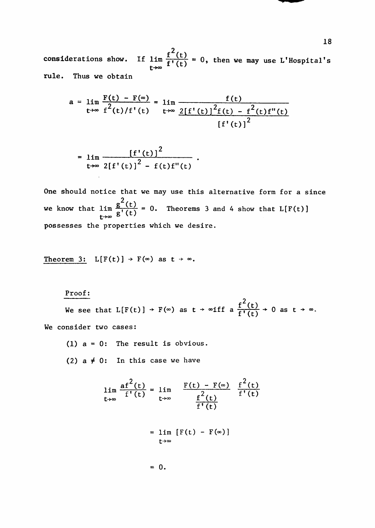considerations show. If  $\lim_{t\to\infty} \frac{f^2(t)}{f'(t)} = 0$ , then we may use L'Hospital's rule. Thus we obtain

$$
a = \lim_{t \to \infty} \frac{F(t) - F(\infty)}{f^{2}(t)/f'(t)} = \lim_{t \to \infty} \frac{f(t)}{2[f'(t)]^{2}f(t) - f^{2}(t)f''(t)}
$$

$$
[f'(t)]^{2}
$$

$$
= \lim_{t\to\infty} \frac{\left[f'(t)\right]^2}{2\left[f'(t)\right]^2 - f(t)f''(t)}
$$

One should notice that we may use this alternative form for a since we know that  $\lim \frac{g^{2}(t)}{g'(t)} = 0$ . Theorems 3 and 4 show that  $L[F(t)]$ possesses the properties which we desire.

Theorem 3:  $L[F(t)] \rightarrow F(\infty)$  as  $t \rightarrow \infty$ .

#### Proof:

 $^{2}$  (  $\mathcal{L}(\mathfrak{c})$ We consider two cases:

$$
\lim_{t \to \infty} \frac{af^{2}(t)}{f'(t)} = \lim_{t \to \infty} \frac{F(t) - F(\infty)}{f'(t)} \frac{f^{2}(t)}{f'(t)}
$$

$$
= \lim_{t \to \infty} [F(t) - F(\infty)]
$$

$$
= 0.
$$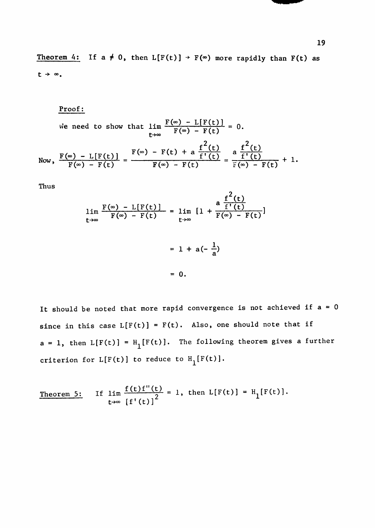**Theorem 4:** If  $a \neq 0$ , then  $L[F(t)] \rightarrow F(\infty)$  more rapidly than  $F(t)$  as  $t + \infty$ .

Proof:

We need to show that 
$$
\lim_{t \to \infty} \frac{F(\infty) - L[F(t)]}{F(\infty) - F(t)} = 0.
$$
  
Now, 
$$
\frac{F(\infty) - L[F(t)]}{F(\infty) - F(t)} = \frac{F(\infty) - F(t) + a \frac{f^{2}(t)}{f'(t)}}{F(\infty) - F(t)} = \frac{a \frac{f^{2}(t)}{f'(t)}}{F(\infty) - F(t)} + 1.
$$

Thus

$$
\lim_{t \to \infty} \frac{F(\infty) - L[F(t)]}{F(\infty) - F(t)} = \lim_{t \to \infty} \left[ 1 + \frac{a \frac{f^{2}(t)}{f'(t)}}{F(\infty) - F(t)} \right]
$$

$$
= 1 + a(-\frac{1}{a})
$$

$$
= 0.
$$

 $\ddot{\phantom{0}}$ 

**It** should be noted that more rapid convergence is not achieved if a = 0 since in this case  $L[F(t)] = F(t)$ . Also, one should note that if  $a = 1$ , then  $L[F(t)] = H_1[F(t)]$ . The following theorem gives a further criterion for  $L[F(t)]$  to reduce to  $H^1_F(f)$ .

Theorem 5: If  $\lim \frac{f(t)-f(t)}{2} = 1$ , then  $L[F(t)] = H_1[F(t)]$ . t- $\star$   $\sigma$   $\left[ f'(t) \right]^-$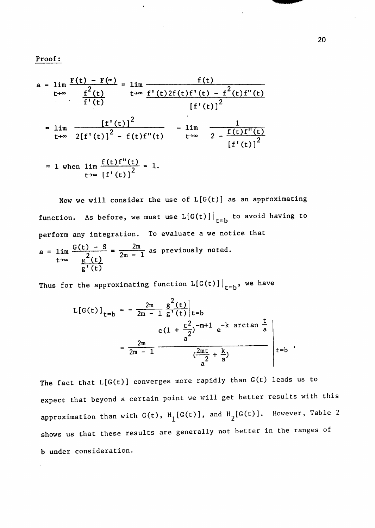Proof:

$$
a = \lim_{t \to \infty} \frac{F(t) - F(\infty)}{f^2(t)} = \lim_{t \to \infty} \frac{f(t)}{f'(t)} \frac{f'(t)}{f'(t)} = \lim_{t \to \infty} \frac{f'(t) - f^2(t)f''(t)}{f'(t)^2}
$$
\n
$$
= \lim_{t \to \infty} \frac{[f'(t)]^2}{2[f'(t)]^2 - f(t)f''(t)} = \lim_{t \to \infty} \frac{1}{2 - \frac{f(t)f''(t)}{f'(t)^2}}
$$
\n
$$
= 1 \text{ when } \lim_{t \to \infty} \frac{f(t)f''(t)}{f'(t)^2} = 1.
$$

Now we will consider the use of  $L[G(t)]$  as an approximating function. As before, we must use  $L[G(t)]\Big|_{t=b}$  to avoid having to perform any integration. To evaluate a we notice that  $a = 1$ im  $\frac{G(t) - S}{2} = \frac{2m}{2m - 1}$  as previously noted.  $\frac{g^2(t)}{h^2}$   $\frac{2m-1}{h^2}$ **g'(t )** 

Thus for the approximating function  $L[G(t)]\Big|_{t=b}$ , we have

$$
L[G(t)]_{t=b} = -\frac{2m}{2m - 1} \frac{g^{2}(t)}{g'(t)}|_{t=b}
$$
  

$$
= \frac{2m}{2m - 1} \frac{e^{2m - 1}e^{-k \arctan \frac{t}{a}}}{\frac{e^{2m - 1}}{a} \frac{2m + k}{a}} e^{-k \arctan \frac{t}{a}}
$$

The fact that L[G(t)] converges more rapidly than G(t) leads us to expect that beyond a certain point we will get better results with this approximation than with  $G(t)$ ,  $H_1[G(t)]$ , and  $H_2[G(t)]$ . However, Table 2 shows us that these results are generally not better in the ranges of b under consideration.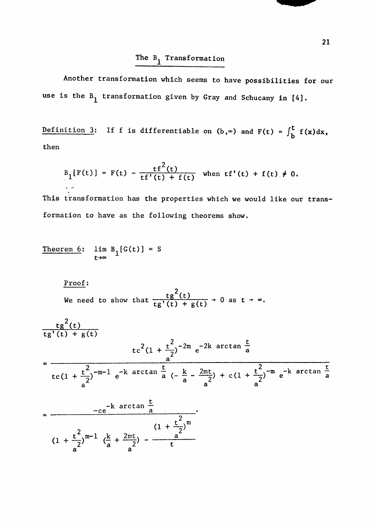# The  $B_1$  Transformation

Another transformation which seems to have possibilities for our use is the  $B_1$  transformation given by Gray and Schucany in [4].

Definition 3: If f is differentiable on  $(b, \infty)$  and  $F(t) = \int_1^L f(x)dx$ ,  $\mathbf{p}$ then

$$
B_1[F(t)] = F(t) - \frac{tf^2(t)}{tf'(t) + f(t)}
$$
 when  $tf'(t) + f(t) \neq 0$ .

This transformation has the properties which we would like our transformation to have as the following theorems show.

Theorem 6: 
$$
\lim_{t \to \infty} B_1[G(t)] = S
$$

Proof:

We need to show that 
$$
\frac{tg^2(t)}{tg'(t) + g(t)} \to 0 \text{ as } t \to \infty.
$$

$$
\frac{tg^{2}(t)}{tg'(t) + g(t)}
$$
\n
$$
tc^{2}(1 + \frac{t^{2}}{2})^{-2m} e^{-2k \arctan \frac{t}{a}}
$$
\n
$$
t c(1 + \frac{t^{2}}{a})^{-m-1} e^{-k \arctan \frac{t}{a} (-\frac{k}{a} - \frac{2mt}{a}) + c(1 + \frac{t^{2}}{a})^{-m} e^{-k \arctan \frac{t}{a}}
$$
\n
$$
= \frac{-ce^{-k \arctan \frac{t}{a}}}{(1 + \frac{t^{2}}{a})^{m}}
$$

$$
(1 + \frac{t^{2}}{a})^{m-1} \left(\frac{k}{a} + \frac{2mt}{a^{2}}\right) - \frac{a^{2}}{t}
$$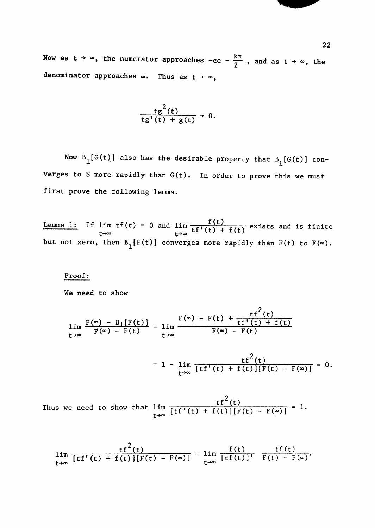Now as  $t \to \infty$ , the numerator approaches -ce -  $\frac{k\pi}{2}$ , and as  $t \to \infty$ , the denominator approaches  $\infty$ . Thus as  $t \rightarrow \infty$ ,

$$
\frac{\mathrm{tg}^2(\mathrm{t})}{\mathrm{tg}'(\mathrm{t})+\mathrm{g}(\mathrm{t})}\rightarrow 0.
$$

Now  $B_1[G(t)]$  also has the desirable property that  $B_1[G(t)]$  converges to S more rapidly than G(t). In order to prove this we must first prove the following lemma.

Lemma 1: If lim  $tf(t) = 0$  and  $\lim_{t \to 0} \frac{f(t)}{f(t)} + f(t)$  exists and is finite  $t \rightarrow \infty$   $t \rightarrow \infty$   $t \rightarrow \infty$   $t \rightarrow \infty$ but not zero, then  $B_1[F(t)]$  converges more rapidly than  $F(t)$  to  $F(\infty)$ .

#### Proof:

We need to show

$$
\lim_{t\to\infty}\frac{F(\infty) - B_1[F(t)]}{F(\infty) - F(t)} = \lim_{t\to\infty}\frac{F(\infty) - F(t) + \frac{tf^2(t)}{tf'(t) + f(t)}}{F(\infty) - F(t)}
$$

$$
= 1 - \lim_{t \to \infty} \frac{tf^{2}(t)}{[tf'(t) + f(t)][F(t) - F(\infty)]} = 0.
$$

 $2^{\prime}$ Inus we need to show that  $\lim_{t \to \infty} \frac{f(t^{*}(t) + f(t)) [F(t) - F(\infty)]}{t^{*}}$ 

$$
\lim_{t\to\infty}\frac{tf^{2}(t)}{[tf'(t)+f(t)][F(t)-F(\infty)]}=\lim_{t\to\infty}\frac{f(t)}{[tf(t)]^{t}}\frac{tf(t)}{F(t)-F(\infty)}.
$$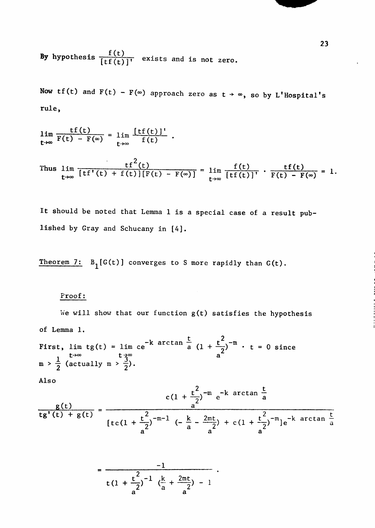By hypothesis  $\frac{1}{\left[tf(t)\right]^T}$  exists and is not zero.

Now tf(t) and  $F(t) - F(\infty)$  approach zero as  $t \to \infty$ , so by L'Hospital's rule,

$$
\lim_{t\to\infty}\frac{tf(t)}{F(t)-F(\infty)}=\lim_{t\to\infty}\frac{[tf(t)]'}{f(t)}
$$

 $2^{\prime}$ Thus  $\lim_{x \to 0} \frac{f(t)}{f(t)} + f(t) \cdot f(t) = F(x)$  =  $\lim_{x \to 0} \frac{f(t)}{f(t)}$  .  $F(t) = F(t)$  $\sum_{t \to \infty}$   $\sum_{i=1}^{n}$   $\sum_{i=1}^{n}$   $\sum_{i=1}^{n}$   $\sum_{i=1}^{n}$   $\sum_{i=1}^{n}$   $\sum_{i=1}^{n}$   $\sum_{i=1}^{n}$   $\sum_{i=1}^{n}$   $\sum_{i=1}^{n}$   $\sum_{i=1}^{n}$   $\sum_{i=1}^{n}$   $\sum_{i=1}^{n}$   $\sum_{i=1}^{n}$   $\sum_{i=1}^{n}$   $\sum_{i=1}^{n}$   $\sum_{i=1}^{n}$ 

It should be noted that Lemma 1 is a special case of a result published by Gray and Schucany in [4].

Theorem 7:  $B_1[G(t)]$  converges to S more rapidly than  $G(t)$ .

#### Proof:

We will show that our function  $g(t)$  satisfies the hypothesis of Lemma 1.

First, lim tg(t) = lim ce<sup>-k</sup> arctan  $\frac{t}{a}$  (1 +  $\frac{t^2}{2}$ )<sup>-m</sup> · t = 0 since t- $\star \infty$  t $\star \infty$  a  $m > \frac{1}{2}$  (actually  $m > \frac{3}{2}$ ).

Also

$$
\frac{g(t)}{tg'(t) + g(t)} = \frac{c(1 + \frac{t^2}{a})^{-m} e^{-k \arctan \frac{t}{a}}}{[tc(1 + \frac{t^2}{a})^{-m-1} (-\frac{k}{a} - \frac{2mt}{a^2}) + c(1 + \frac{t^2}{a})^{-m}]e^{-k \arctan \frac{t}{a}}}
$$

$$
= \frac{-1}{\tan t (1 + \frac{t^2}{a^2})^{-1} (\frac{k}{a} + \frac{2\pi t}{a^2}) - 1}
$$

23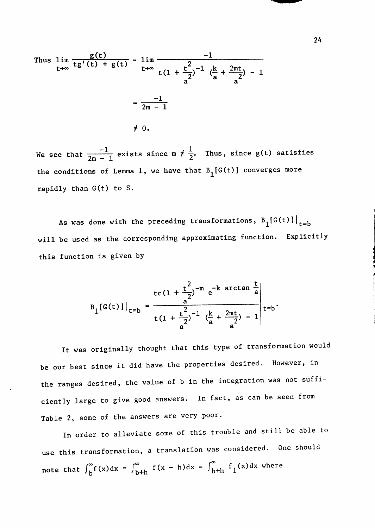Thus  $\lim_{x \to a^+ (t) + g(t)} = \lim_{x \to a^-}$  $t \rightarrow \infty$  is  $\begin{pmatrix} t & t & t \\ t & t \end{pmatrix}$   $t \rightarrow \infty$   $t(1 + \frac{t}{t})^{-1}$  $\begin{array}{cc} a^2 & a^2 \\ a^2 & a^2 \end{array}$ z a z -1 2m - 1  $\neq 0$ .

We see that  $\frac{1}{2}$  exists since  $m \neq \frac{1}{2}$ . Thus, since g(t) satisfies  $2m - 1$  canses since  $m / 2$ the conditions of Lemma 1, we have that  $B^1[G(t)]$  converges more rapidly than G(t) to S.

As was done with the preceding transformations,  $B_1[G(t)]|_{t=b}$ will be used as the corresponding approximating function. Explicitly this function is given by

$$
B_{1}[G(t)]|_{t=b} = \frac{1}{t(1 + \frac{t^{2}}{a})^{-1} (\frac{k}{a} + \frac{2nt}{a})^{-1}} + \frac{1}{t(b)}.
$$

It was originally thought that this type of transformation would be our best since it did have the properties desired. However, in the ranges desired, the value of b in the integration was not sufficiently large to give good answers. In fact, as can be seen from Table 2, some of the answers are very poor.

In order to alleviate some of this trouble and still be able to use this transformation, a translation was considered. One should note that  $\int_{b}^{\infty} f(x) dx = \int_{b+h}^{\infty} f(x - h) dx = \int_{b+h}^{\infty} f_1(x) dx$  where

24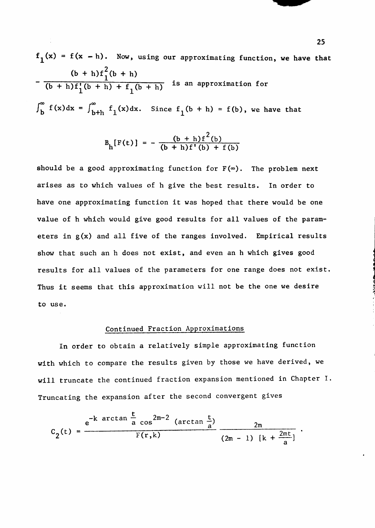$f_1(x) = f(x - h)$ . Now, using our approximating function, we have that  $(b + h)f_1(b + h)$  $(b + h)f'_{1}(b + h) + f_{1}(b + h)$  is an approximation for  $\int_{b}^{\infty} f(x)dx = \int_{b+h}^{\infty} f_1(x)dx$ . Since  $f_1(b + h) = f(b)$ , we have that

$$
B_{h}[F(t)] = -\frac{(b+h)f^{2}(b)}{(b+h)f'(b) + f(b)}
$$

should be a good approximating function for  $F(\infty)$ . The problem next arises as to which values of h give the best results. In order to have one approximating function it was hoped that there would be one value of h which would give good results for all values of the parameters in g(x) and all five of the ranges involved. Empirical results show that such an h does not exist, and even an h which gives good results for all values of the parameters for one range does not exist. Thus it seems that this approximation will not be the one we desire to use.

#### Continued Fraction Approximations

In order to obtain a relatively simple approximating function with which to compare the results given by those we have derived, we will truncate the continued fraction expansion mentioned in Chapter I. Truncating the expansion after the second convergent gives

$$
C_2(t) = \frac{e^{-k \arctan \frac{t}{a} \cos^{2m-2} (\arctan \frac{t}{a})}}{F(r,k)}
$$
  $\frac{2m}{(2m-1) [k + \frac{2mt}{a}]}.$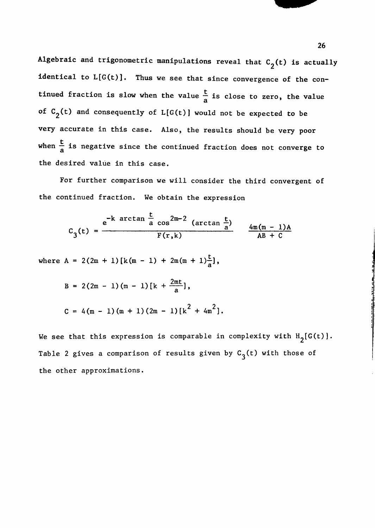Algebraic and trigonometric manipulations reveal that  $C_2(t)$  is actually identical to  $L[G(t)]$ . Thus we see that since convergence of the continued fraction is slow when the value  $\frac{t}{a}$  is close to zero, the value a of  $C$  C2(t) and consequently of L[G(t)] would not be expected to be expected to be expected to be expected to be expected to be expected to be expected to be expected to be expected to be expected to be expected to be ex very accurate in this case. Also, the results should be very poor when  $\alpha$  is negative since the continued fraction does not continued fraction does not converge to  $\alpha$ 

For further comparison we will consider the third convergent of the continued fraction. We obtain the expression

$$
C_3(t) = \frac{e^{-k \arctan \frac{t}{a} \cos^{2m-2} (\arctan \frac{t}{a})}}{F(r,k)} \qquad \frac{4m(m-1)A}{AB+C}
$$

where  $A = 2(2m + 1) [k(m - 1) + 2m(m + 1) -]$ , a

B = 2(2m - 1) (m - 1) [k + 
$$
\frac{2mt}{a}
$$
],  
C = 4(m - 1) (m + 1) (2m - 1) [k<sup>2</sup> + 4m<sup>2</sup>].

We see that this expression is comparable in complexity with  $H_2[G(t)]$ . Table 2 gives a comparison of results given by  $C^1_3(t)$  with those of the other approximations.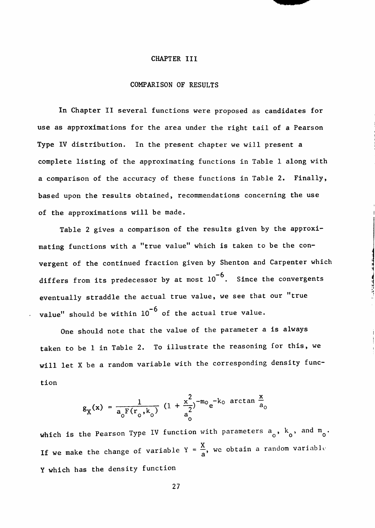#### CHAPTER III

#### COMPARISON OF RESULTS

In Chapter II several functions were proposed as candidates for use as approximations for the area under the right tail of a Pearson Type IV distribution. In the present chapter we will present a complete listing of the approximating functions in Table 1 along with a comparison of the accuracy of these functions in Table 2. Finally, based upon the results obtained, recommendations concerning the use of the approximations will be made.

Table 2 gives a comparison of the results given by the approximating functions with a "true value" which is taken to be the convergent of the continued fraction given by Shenton and Carpenter which differs from its predecessor by at most  $10^{-6}$ . Since the convergents eventually straddle the actual true value, we see that our "true value" should be within  $10^{-6}$  of the actual true value.

One should note that the value of the parameter a is always taken to be 1 in Table 2. To illustrate the reasoning for this, we will let X be a random variable with the corresponding density function

$$
g_{\chi}(x) = \frac{1}{a_0 F(r_0, k_0)} (1 + \frac{x^2}{a_0^2})^{-m_0} e^{-k_0 \arctan \frac{x}{a_0}}
$$

which is the Pearson Type IV function with parameters  $a_{\alpha}$ ,  $k_{\alpha}$ , and  $m_{\alpha}$ . If we make the change of variable  $Y = \frac{X}{a}$ , we obtain a random variable Y which has the density function

 $\ddot{\phantom{0}}$ 

27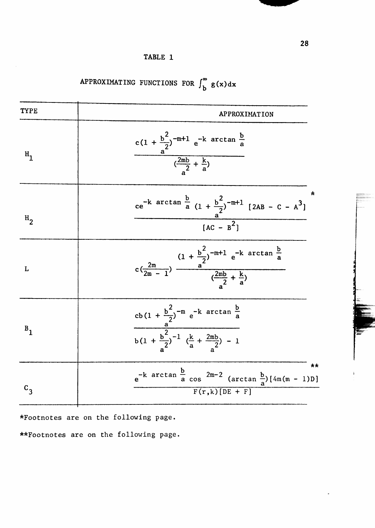| <b>TYPE</b>    | APPROXIMATION                                                                                                                                                      |
|----------------|--------------------------------------------------------------------------------------------------------------------------------------------------------------------|
| $H_1$          | c(1 + $\frac{b^2}{a^2}$ ) <sup>-m+1</sup> e <sup>-k</sup> arctan $\frac{b}{a}$<br>( $\frac{2mb}{a^2} + \frac{k}{a}$ )                                              |
| H <sub>2</sub> | *<br>ce <sup>-k</sup> arctan $\frac{b}{a}$ (1 + $\frac{b^2}{2}$ ) <sup>-m+1</sup> [2AB - C - A <sup>3</sup> ]<br>$\frac{a}{[AC - B^2]}$                            |
| L              | $c\left(\frac{2m}{2m-1}\right)$ $\frac{(1+\frac{b^2}{2})^{-m+1} e^{-k \arctan \frac{b}{a}}}{(\frac{2mb}{a^2}+\frac{k}{a})}$                                        |
| $B_{1}$        | $\frac{cb(1+\frac{b^2}{a^2})^{-m} e^{-k \arctan \frac{b}{a}}}{\frac{a^2}{a^2} + \frac{b^2}{a^2}}$<br>$b(1 + \frac{b^2}{2})^{-1} (\frac{k}{a} + \frac{2mb}{2}) - 1$ |
|                | **<br>$e^{-k}$ arctan $\frac{b}{a}$ cos $2m-2$ (arctan $\frac{b}{a}$ ) [4m(m - 1)D]<br>$F(r,k)[DE + F]$                                                            |

APPROXIMATING FUNCTIONS FOR  $\int_{b}^{\infty} g(x) dx$ 

\*Footnotes are on the following page.

\*\*Footnotes are on the following page,

£'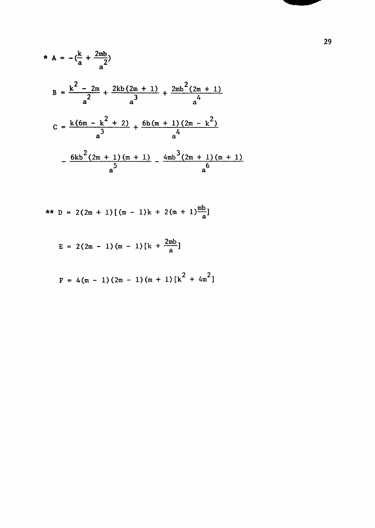$$
A = -(\frac{k}{a} + \frac{2mb}{a^2})
$$
  
\n
$$
B = \frac{k^2 - 2m}{a^2} + \frac{2kb(2m + 1)}{a^3} + \frac{2mb^2(2m + 1)}{a^4}
$$
  
\n
$$
C = \frac{k(6m - k^2 + 2)}{a^3} + \frac{6b(m + 1)(2m - k^2)}{a^4}
$$
  
\n
$$
-\frac{6kb^2(2m + 1)(m + 1)}{a^5} - \frac{4mb^3(2m + 1)(m + 1)}{a^6}
$$

$$
\star \star \quad D = 2(2m + 1) \left[ (m - 1)k + 2(m + 1) \frac{mb}{a} \right]
$$

$$
E = 2(2m - 1)(m - 1)[k + \frac{2mb}{a}]
$$

$$
F = 4(m - 1)(2m - 1)(m + 1)[k2 + 4m2]
$$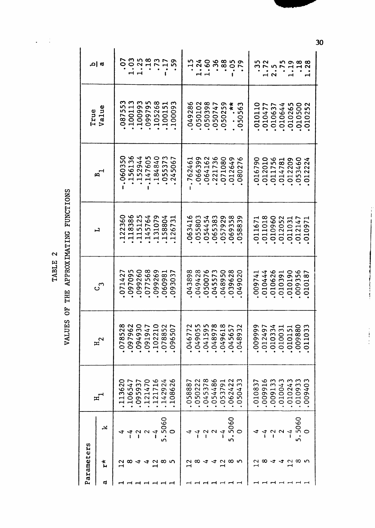TABLE 2

 $\frac{1}{3}$ 

 $\ddot{\phantom{0}}$ 

VALUES OF THE APPROXIMATING FUNCTIONS

| ρ       | arameters     |                        |                                                                                                                       |                                                                                                                                           |                                                                                                                                                                  |                                                                                                                                                                                  |                                                                                                                                        | True                                                                                                                             |                                                                                                                          |
|---------|---------------|------------------------|-----------------------------------------------------------------------------------------------------------------------|-------------------------------------------------------------------------------------------------------------------------------------------|------------------------------------------------------------------------------------------------------------------------------------------------------------------|----------------------------------------------------------------------------------------------------------------------------------------------------------------------------------|----------------------------------------------------------------------------------------------------------------------------------------|----------------------------------------------------------------------------------------------------------------------------------|--------------------------------------------------------------------------------------------------------------------------|
| ത       | $x^*$         |                        | ᄑ                                                                                                                     | $H_{2}$                                                                                                                                   | $c_3$                                                                                                                                                            | 니                                                                                                                                                                                | <b>8</b>                                                                                                                               | Value                                                                                                                            | <b>α ام</b>                                                                                                              |
|         | 12            |                        | O<br>N<br>$\mathbf{\circ}$<br>S<br>⊣                                                                                  | L<br>0<br>٠                                                                                                                               | $\overline{\phantom{0}}$<br>ᆏ<br>Ľ<br>0<br>$\bullet$                                                                                                             | 0<br>$\sim$<br>$\mathbf -$<br>$\bullet$                                                                                                                                          | O<br>ო<br>0<br>$\circ$<br>$\bullet$                                                                                                    |                                                                                                                                  | O<br>٠                                                                                                                   |
|         | <b>844485</b> |                        | $\overline{\phantom{0}}$<br><u>ທ</u><br>$\ddot{\circ}$<br>$\bar{\mathbf{o}}$<br>$\overline{\phantom{0}}$<br>$\bullet$ | $\begin{array}{c} 0.000000 \\ 0.000000 \\ \end{array}$<br>263415<br><u> ທ</u> 0 0 0 0 0 0<br>$\frac{1}{2}$<br>$\overline{0}$<br>$\bullet$ | <b>508917</b><br>$\begin{array}{c}\n\mathbf{0} & \mathbf{0} & \mathbf{0} & \mathbf{0} & \mathbf{0} & \mathbf{0} & \mathbf{0}\n\end{array}$<br>40052<br>$\bullet$ | 654941<br>$\overline{Q} \otimes \overline{Q} \otimes \overline{Q} \otimes \overline{Q}$<br>ოო<br>$\sim$ $\infty$ $\sim$ $\sim$ $\sim$ $\sim$<br>$\blacksquare$<br>$\blacksquare$ | <b>ちょうりょく</b><br>0.00404<br>$\bullet$                                                                                                  | mmmm∞Hm<br>08755<br>10011:<br>1009979:<br>09979:<br>10015<br>10015<br>$\bullet$                                                  | $\circ$<br>$\bullet$                                                                                                     |
|         |               | $\sim$                 | 4371<br>$\tilde{\omega}$ 4 $\sim$<br>0.014<br>$\circ$                                                                 | 9128<br>$\circ$<br>$\bullet$                                                                                                              | 00191<br>88588<br>$\bullet$                                                                                                                                      | $\mathbf{\mathbf{\mathbf{\mathsf{H}}}}$                                                                                                                                          | $6400mR$<br>$-100000$<br>$\overline{O}$ $\overline{O}$<br>$\bullet$                                                                    | $\bullet$                                                                                                                        | $\bullet$<br>$\blacktriangleleft$ $\dashv$                                                                               |
|         |               | $\sim$ 4               | $n + 1$<br>$\overline{a}$<br>$\bullet$                                                                                | Ò<br>$\bullet$                                                                                                                            | $\bullet$                                                                                                                                                        | $\sim$ 0<br>7 4 W 7<br>$-1$ $-1$<br>$\bullet$                                                                                                                                    | 745<br>$\bullet$                                                                                                                       | $\bullet$                                                                                                                        | $2117$<br>$\bullet$                                                                                                      |
| -----   |               | $\mathbf{I}$           | $\bullet$                                                                                                             | $\overline{\phantom{0}}$ $\overline{\phantom{0}}$<br>$\bullet$                                                                            | $\bullet$                                                                                                                                                        | $\bullet$                                                                                                                                                                        | $\bullet$                                                                                                                              | $\bullet$                                                                                                                        | $\bullet$                                                                                                                |
|         |               | 5060<br>$\bullet$<br>ഗ | $\sim$<br>$\sigma$<br>$\sim$<br>$\mathbf{\mathbf{\mathbf{\mathsf{H}}}}$                                               |                                                                                                                                           | $\sigma$<br>$\bullet$                                                                                                                                            | $\infty$<br>$\mathbf \blacksquare$                                                                                                                                               | ٠                                                                                                                                      |                                                                                                                                  | $\bullet$                                                                                                                |
|         |               | $\circ$                | $\sim$<br>ص<br>$\infty$<br>$\circ$<br>ᆏ                                                                               | $\circ$<br>ഗ<br>$\mathbf{o}$<br>$\sigma$<br>0                                                                                             | 0<br>$\mathbf{\hat{c}}$<br>$\sigma$<br>0                                                                                                                         | ന<br>∼<br>$\circ$<br>$\sim$<br>ᆏ                                                                                                                                                 | ు<br>$\circ$<br>m<br>$\sim$                                                                                                            | ᡡ<br>$\circ$<br>$\circ$<br>$\circ$<br>$\mathbf{\mathbf{\mathbf{\mathsf{H}}}}$                                                    | ທ<br>٠                                                                                                                   |
|         |               |                        | ∞<br>0                                                                                                                | L<br>$\bullet$<br>4<br>$\circ$<br>$\bullet$                                                                                               | ო<br>2Q                                                                                                                                                          | ∾<br>ᆏ<br>$\mathbf{\hat{t}}$<br>ო<br>$\mathbf o$<br>0                                                                                                                            | ৩<br>ォ<br>$\bullet$<br>Ł                                                                                                               | $\infty$<br>$\sim$<br>O<br>$\bullet$                                                                                             | Н<br>$\bullet$                                                                                                           |
|         |               | $4\frac{1}{4}$         | $\sim$<br>$\circ$<br>$\bullet$                                                                                        | $\circ$<br>$\bullet$                                                                                                                      |                                                                                                                                                                  | $\circ$<br>$\bullet$                                                                                                                                                             | $\bullet$                                                                                                                              | $\bullet$                                                                                                                        | $\bullet$                                                                                                                |
|         |               |                        | $\infty$ $\sim$ $\sim$ $\infty$<br>5345<br>$\circ$ $\circ$<br>$\bullet$                                               | $n \circ r$<br>$\mathfrak{m}$<br>049<br>041<br>$\bullet$                                                                                  |                                                                                                                                                                  | $\infty$ 4 $\infty$<br>545<br>n n o n o<br>$\circ \circ \circ$<br>$\bullet$                                                                                                      | $\alpha$ $\alpha$ $\alpha$ $\alpha$ $\gamma$<br>$\omega$ $\rightarrow$ $\sim$<br>NOONOO<br>$\bullet$                                   | 0.0000<br>0045*<br>$-105$<br><b>45555</b><br>$\circ$<br>$\bullet$                                                                | $\bullet$<br>ᆏᆏ                                                                                                          |
|         |               | 22                     | $\bullet$                                                                                                             | $\infty$<br>$\overline{v}$<br>$\ddot{\circ}$<br>$\bullet$                                                                                 |                                                                                                                                                                  | $\bullet$                                                                                                                                                                        | $\bullet$                                                                                                                              | $\circ$<br>$\bullet$                                                                                                             | $\bullet$                                                                                                                |
|         |               | $\mathbf{I}$           | $\sigma$ $\sim$<br>$\circ$<br>$\bullet$                                                                               | $\overline{\phantom{0}}$<br>96<br>$\sigma$<br>$\ddot{ }$<br>$\circ$<br>$\bullet$                                                          |                                                                                                                                                                  | $\overline{\phantom{0}}$<br>$\circ$<br>$\bullet$                                                                                                                                 | $\circ$<br>$\bullet$                                                                                                                   | $\sim$<br>$\circ$<br><b>in</b><br>$\circ$<br>٠                                                                                   | $\bullet$                                                                                                                |
| -----   |               | 5060                   | 1286123<br>$\mathbf{r}$<br>$\tilde{\mathbf{O}}$                                                                       | 253822<br>ഗ<br>04<br>$\bullet$                                                                                                            | $\begin{array}{c} 0.000000 \\ 0.000000 \\ \end{array}$<br>の277522<br>00 J O U O U<br>$0.049$<br>$0.048$<br>$0.0439$<br>$0.0439$<br>$0.049$<br>$0.049$            | $m + m$ or $\infty$ or<br><b>58253</b><br>$\sigma$ $\sim$ $\infty$<br>$\sigma$<br>$\circ$<br>$\bullet$                                                                           | $\begin{array}{c}\n\hline\n-\hline\n\end{array}$<br>$\circ$<br>$Q$ $Q$ $Q$ $H$ $H$ $Q$ $Q$ $Q$ $H$ $H$ $Q$ $Q$<br>6662718<br>$\bullet$ | $\bullet$<br>٠                                                                                                                   | $\bullet$<br>1                                                                                                           |
|         |               | $\circ$                | ო<br>寸<br>$\circ$<br>$\mathsf{L}\cap$<br>0                                                                            | ო<br>ᡡ<br>$\infty$<br>$\vec{v}$<br>$\circ$                                                                                                | O                                                                                                                                                                | $\infty$<br>ഗ<br>0                                                                                                                                                               | $\overline{\phantom{0}}$<br>$\sim$<br>$\circ$                                                                                          | ო<br>৩<br>ഗ<br>0<br>൱<br>$\circ$                                                                                                 | n 400000<br>$\ddot{\Omega}$ $\ddot{\Omega}$ $\ddot{\Omega}$ $\ddot{\Omega}$ $\ddot{\Omega}$ $\ddot{\Omega}$<br>$\bullet$ |
|         |               |                        | ო                                                                                                                     | ᡡ<br>0099                                                                                                                                 | ∼<br>009                                                                                                                                                         | $\overline{\phantom{0}}$<br>$\overline{\phantom{0}}$<br>$\overline{\phantom{0}}$<br>$\blacktriangleright$<br>0                                                                   | 7                                                                                                                                      | O                                                                                                                                | ო                                                                                                                        |
|         |               |                        | $\rightarrow$<br>0108<br>$\bullet$                                                                                    | $\rightarrow$<br>$\sim$<br>$\overline{\phantom{0}}$<br>$\circ$<br>$\bullet$                                                               | $\circ$<br>$\overline{0}$                                                                                                                                        | $\blacksquare$<br>$\blacktriangleleft$<br>$\bullet$                                                                                                                              | റ പ<br>$\circ$<br>$\overline{Q}$<br>$\bullet$                                                                                          | $\overline{\phantom{0}}$<br>$\overline{ }$<br>04<br>$\frac{1}{10}$<br>$\bullet$                                                  | n a<br>$\bullet$                                                                                                         |
|         |               |                        | $\sim$<br>$\overline{\phantom{0}}$<br>$\sigma$<br>$\circ$<br>$\bar{\circ}$<br>$\bullet$                               | $\circ$<br>$\bullet$                                                                                                                      |                                                                                                                                                                  | $\bullet$                                                                                                                                                                        | $\overline{ }$<br>$\overline{O}$<br>٠                                                                                                  | $\overline{\phantom{0}}$<br>$\circ$<br>$\bullet$                                                                                 | $\bullet$<br>$\overline{\phantom{a}}$                                                                                    |
|         |               | $\sim$ 4               | .004<br>$\circ$<br>$\bullet$                                                                                          | 103<br>100<br>101<br>$\circ$<br>$\bullet$                                                                                                 | $\circ \circ \circ$                                                                                                                                              | $\rightarrow$ $\rightarrow$<br>$\bullet$                                                                                                                                         | $\overline{N}$<br>$-42$<br>$\bullet$                                                                                                   | $\circ$<br>$\bullet$                                                                                                             | ٠                                                                                                                        |
| ------- | 2844285       | $\mathbf{I}$           | r 6 m m m m m<br>$\overline{\mathbf{C}}$<br>$\circ$<br>$A - A$<br>$\circ$                                             | <b>の74110</b><br>$\sigma$ mm m $\bar{\infty}$<br>$\circ$                                                                                  | 4481095287<br>けんこよう<br>$\circ\circ\circ\circ\circ$                                                                                                               | 1802171<br>$\circ$ $\circ$ $\circ$ $\circ$ $\circ$ $\circ$ $\circ$<br>O N H N O<br>$\blacksquare$<br>$\circ \circ \circ \circ \circ$<br>$\bullet$                                | 0001004<br>$\overline{a}$<br>11111111<br>$\bullet$                                                                                     | 74502<br>$\begin{array}{ccccccc}\n& \rightarrow & \circ & \circ & \circ & \circ\n\end{array}$<br>0000000<br>$H$ $H$<br>$\bullet$ | $n \circ \infty$<br><b>757112</b><br>$\bullet$<br>$\overline{\phantom{0}}$                                               |
|         |               | 5060<br>ഗ              | 4m<br>$\sigma$<br>$\circ$<br>$\circ$                                                                                  | $\infty$<br>$\sigma$<br>$\overline{O}$                                                                                                    | $\circ$<br>$\circ$                                                                                                                                               | $\mathbf{\mathbf{\mathbf{\mathbf{\mathbf{\mathbf{\mathbf{-}}}}}}}$                                                                                                               | 4N<br>$\sim \infty$<br>$\circ$                                                                                                         | $\mathbf{\mathbf{\mathsf{H}}}$<br>$\circ$<br>٠                                                                                   | ٠                                                                                                                        |
|         |               |                        | ヾ<br>ᡡ<br>$\circ$                                                                                                     | ന<br>ొ<br>$\circ$<br>ᆋ<br>$\blacktriangleright$<br>$\circ$                                                                                | ᆋ<br>╺┍┥<br>0                                                                                                                                                    | −<br>0                                                                                                                                                                           | $\circ$                                                                                                                                | $\overline{\phantom{0}}$<br>0                                                                                                    | Ħ                                                                                                                        |
|         |               |                        |                                                                                                                       |                                                                                                                                           |                                                                                                                                                                  |                                                                                                                                                                                  |                                                                                                                                        |                                                                                                                                  |                                                                                                                          |

**30** 

 $\mathbf{I}$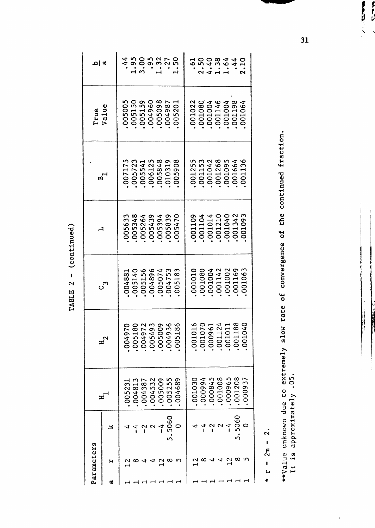| L                      |
|------------------------|
| $\mathbf{\mathcal{L}}$ |
| TARIE<br>Į             |

|   | Parameters                          |               |                     |                      | ပ                                             | ᄀ          |                                 | True                    | m  a,                                  |
|---|-------------------------------------|---------------|---------------------|----------------------|-----------------------------------------------|------------|---------------------------------|-------------------------|----------------------------------------|
| ದ | н                                   | ᅺ             | H                   |                      | س                                             |            | ¤ົ                              | due<br>$\overline{v}$ a |                                        |
|   |                                     |               | 005231              | 004970               | 4881<br>OO                                    | 005633     | ഗ<br>00717                      | 005005                  | $\boldsymbol{4}$                       |
|   | $\dot{\mathbf{u}} \cdot \mathbf{v}$ | f             | 004813              | .005180              | 140<br>ഗ<br>00.                               | .005348    | ო<br>00572<br>$\bullet$         | 005150                  | 95<br>00<br>$\frac{1}{3}$              |
|   |                                     | ı             | 004387<br>$\bullet$ | .004972              | 156<br>L <sub>1</sub><br>OO.                  | .005264    | 00554                           | 005159<br>$\bullet$     |                                        |
|   | 寸                                   | $\sim$        | 004532<br>$\bullet$ | .005493              | 14896<br>00                                   | .005439    | 006125                          | 004960<br>$\bullet$     | ō                                      |
|   | $\overline{2}$                      | $\frac{4}{1}$ | 005009              | .005009              | 5074<br>$\frac{8}{1}$                         | .005394    | 005848                          | 005098                  | うって<br>ო                               |
|   | œ                                   | .5060         | 005255              | .004936              | $\tilde{\mathcal{L}}$<br>ω<br>47<br>00.       | 005839     | $\sigma$<br>010319              | 004987                  | $\mathbf{\sim}$                        |
|   | S                                   |               | 004689              | $\mathbf o$<br>00518 | ო<br>∞<br>$\overline{\phantom{0}}$<br>ഗ<br>00 | 005470     | ∞<br>O<br>$\overline{c}$<br>005 | 005201                  | ഗ                                      |
|   |                                     |               | 001030              | .001016              | <b>1010</b><br>00.                            | 001109     | 00125                           | 001022                  |                                        |
|   | $\frac{2}{1}$ $\infty$              |               | 000994              | .001070              | 1080<br>$\overline{0}$                        | .001104    | ო<br>00115                      | 001080                  | ႙<br>$\frac{1}{2}$                     |
|   | ヽナ                                  |               | 000845              | .000961              | .004<br>ᆋ<br>OO.                              | 001014     | 001042<br>$\bullet$             | 001004                  | $rac{0}{38}$                           |
|   | ч                                   | $\sim$        | 001008              | .001124              | .142<br>⊣<br>OO.                              | .001210    | 001268                          | 001146                  | $\overline{\phantom{0}}$               |
|   | $\frac{2}{1}$                       | $\frac{4}{1}$ | 000965              | 00101                | 002<br>٣<br>$00$ .                            | 001040     |                                 | 001004                  | $\frac{4}{6}$<br>$\mathbf{\mathbf{H}}$ |
|   | œ                                   | .5060         | 001208              | 001188               | 169<br>⊣<br>S.                                | .001342    | 001664                          |                         | ォ<br>◅                                 |
|   |                                     |               | 000937              | 001040               | M<br>نې<br>O<br>ᆋ<br>SO                       | ന<br>00109 | ╰○<br>ო<br>0011                 | 001064                  | N                                      |
|   |                                     |               |                     |                      |                                               |            |                                 |                         |                                        |

 $\mathbf{z}$ **1**   $\sum_{n=1}^{\infty}$ **>-l** 

**\*** 

**c**   $\overline{\phantom{a}}$ **o CO u 0) C C O o 0) o 0) 60 U (U g**   $rate$  of co **O**   $eIy$  sl **g (U u Li .** <u>X ነገ</u> **(U o iJ > . (U d TJ c ? O C3 ^ c 3 a**  $\mu$  **d > \***  It is approximately .05.<br> **I H**  $\frac{1}{2}$ 

 $imater$ **X u** dde  $\frac{a}{b}$ **4-)** 

 $\ddot{\phantom{0}}$ 

**31** 

 $\frac{1}{2}$ 多色这一个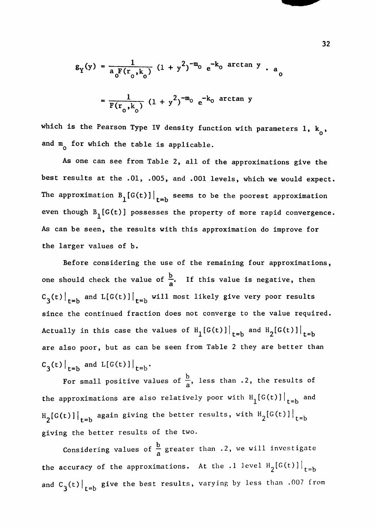$$
g_{Y}(y) = \frac{1}{a_{0}F(r_{0},k_{0})} (1 + y^{2})^{-m_{0}} e^{-k_{0} \arctan y} \cdot a_{0}
$$

$$
= \frac{1}{F(r_{0},k_{0})} (1 + y^{2})^{-m_{0}} e^{-k_{0} \arctan y}
$$

which is the Pearson Type IV density function with parameters 1,  $k_0$ , and  $m_0^{\circ}$  for which the table is applicable.

As one can see from Table 2, all of the approximations give the best results at the .01, .005, and .001 levels, which we would expect. The approximation  $B_{1}[G(t)]\Big|_{t=b}$  seems to be the poorest approximation even though  $B_1[G(t)]$  possesses the property of more rapid convergence. As can be seen, the results with this approximation do improve for the larger values of b.

Before considering the use of the remaining four approximations, one should check the value of  $\frac{b}{a}$ . If this value is negative, then  $C_3(t)|_{t=b}$  and  $L[G(t)]|_{t=b}$  will most likely give very poor results since the continued fraction does not converge to the value required. Actually in this case the values of  $H^{\text{c}}_1[G(t)]|^{t=b}$  and  $H^{\text{c}}_2[G(t)]|^{t=b}$ are also poor, but as can be seen from Table 2 they are better than  $C_3(t)|_{t=b}$  and  $L[G(t)]|_{t=b}$ .

For small positive values of  $\frac{b}{a}$ , less than .2, the results of the approximations are also relatively poor with  $H_1[G(t)]\Big|_{t=b}$  and H [G(t)] $|$  , again giving the better results, with H  $_{2}$ [G(t)] $|$  $2^{1000}$   $2^{1000}$   $1^{100}$   $1^{100}$ giving the better results of the two.

Considering values of  $\frac{b}{a}$  greater than .2, we will investigate a the accuracy of the approximations. At the .l level  $H_2[G(t)$   $]\big|_{t=h}$ and C $_{\alpha}$ (t) $|$  , give the best results, varying by less than .007 from  $3$ <sup>\c/|</sup>t=b